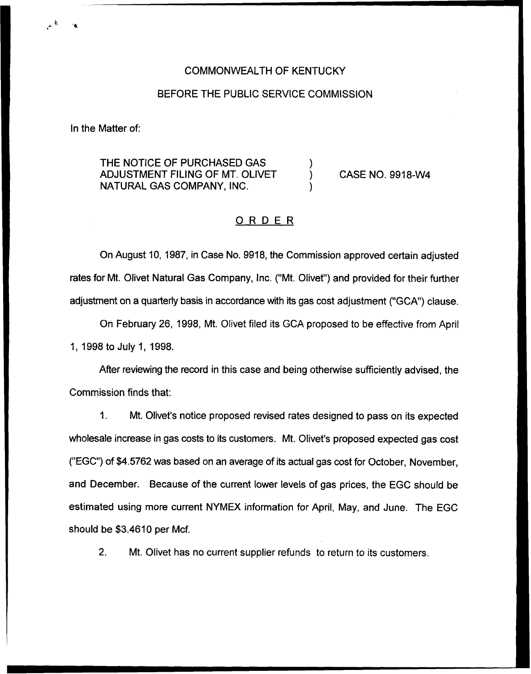## COMMONWEALTH OF KENTUCKY

#### BEFORE THE PUBLIC SERVICE COMMISSION

In the Matter of:

THE NOTICE OF PURCHASED GAS ADJUSTMENT FILING OF MT. OLIVET NATURAL GAS COMPANY, INC.

CASE NO. 9918-NI4

## ORDER

On August 10, 1987, in Case No. 9918, the Commission approved certain adjusted rates for Mt. Olivet Natural Gas Company, Inc. ("Mt. Olivet") and provided for their further adjustment on a quarterly basis in accordance with its gas cost adjustment ("GCA") clause.

On February 26, 1998, Mt. Olivet filed its GCA proposed to be effective from April 1, 1998 to July 1, 1998.

After reviewing the record in this case and being otherwise sufficiently advised, the Commission finds that;

1. Mt. Olivet's notice proposed revised rates designed to pass on its expected wholesale increase in gas costs to its customers. Mt. Olivet's proposed expected gas cost ("EGC") of \$4.5762 was based on an average of its actual gas cost for October, November, and December. Because of the current lower levels of gas prices, the EGC should be estimated using more current NYMEX information for April, May, and June. The EGC should be \$3.4610 per Mcf.

2. Mt. Olivet has no current supplier refunds to return to its customers.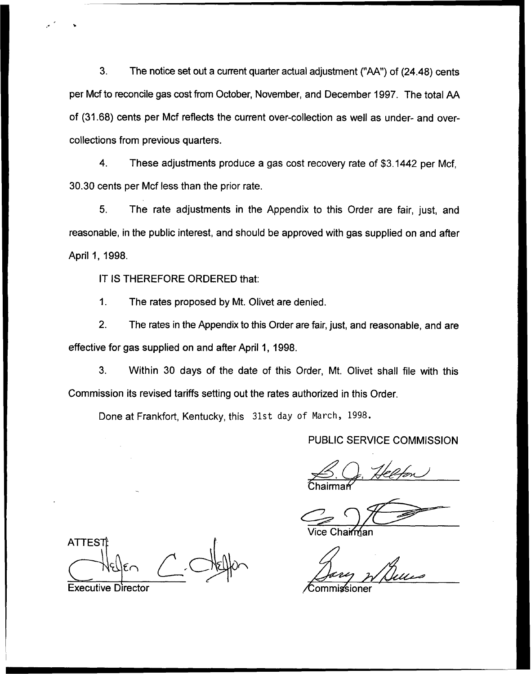3. The notice set out a current quarter actual adjustment ("AA") of (24.48) cents per Mcf to reconcile gas cost from October, November, and December 1997. The total AA of (31.68) cents per Mcf reflects the current over-collection as well as under- and overcollections from previous quarters.

4. These adjustments produce a gas cost recovery rate of \$3.1442 per Mcf, 30.30 cents per Mcf less than the prior rate.

5. The rate adjustments in the Appendix to this Order are fair, just, and reasonable, in the public interest, and should be approved with gas supplied on and after April 1, 1998.

IT IS THEREFORE ORDERED that:

1. The rates proposed by Mt. Olivet are denied.

2. The rates in the Appendix to this Order are fair, just, and reasonable, and are effective for gas supplied on and after April 1, 1998.

3. Within 30 days of the date of this Order, Mt. Olivet shall file with this Commission its revised tariffs setting out the rates authorized in this Order.

Done at Frankfort, Kentucky, this 31st day of March, 1998.

# PUBLIC SERVICE COMMISSION

B. Og. Helfon Chairma

Vice Chairm<u>í</u>an

**ATTEST** Executive Director Commissioner